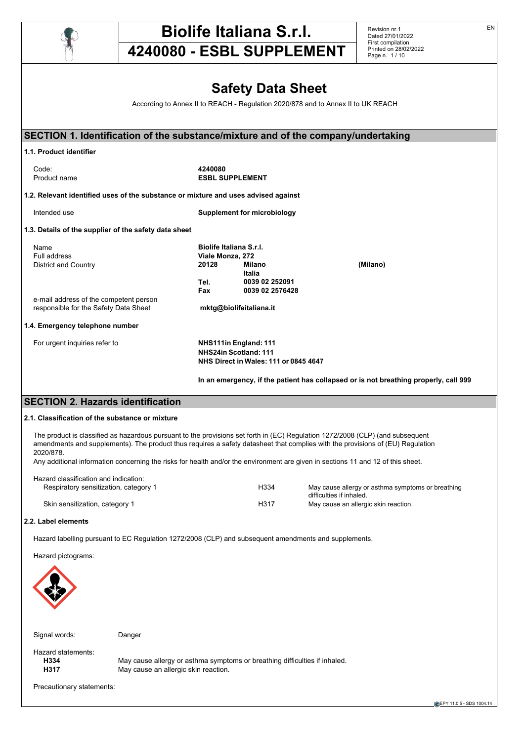

# **Biolife Italiana S.r.l.**

**4240080 - ESBL SUPPLEMENT**

Revision nr.1 Dated 27/01/2022 First compilation Printed on 28/02/2022 Page n. 1 / 10

# **Safety Data Sheet**

According to Annex II to REACH - Regulation 2020/878 and to Annex II to UK REACH

| SECTION 1. Identification of the substance/mixture and of the company/undertaking                                                |                                |                                       |                                                                                      |
|----------------------------------------------------------------------------------------------------------------------------------|--------------------------------|---------------------------------------|--------------------------------------------------------------------------------------|
| 1.1. Product identifier                                                                                                          |                                |                                       |                                                                                      |
| Code:                                                                                                                            | 4240080                        |                                       |                                                                                      |
| Product name                                                                                                                     |                                | <b>ESBL SUPPLEMENT</b>                |                                                                                      |
| 1.2. Relevant identified uses of the substance or mixture and uses advised against                                               |                                |                                       |                                                                                      |
| Intended use                                                                                                                     |                                | <b>Supplement for microbiology</b>    |                                                                                      |
| 1.3. Details of the supplier of the safety data sheet                                                                            |                                |                                       |                                                                                      |
| Name                                                                                                                             | <b>Biolife Italiana S.r.I.</b> |                                       |                                                                                      |
| Full address                                                                                                                     | Viale Monza, 272               |                                       |                                                                                      |
| <b>District and Country</b>                                                                                                      | 20128                          | <b>Milano</b>                         | (Milano)                                                                             |
|                                                                                                                                  | Tel.                           | <b>Italia</b><br>0039 02 252091       |                                                                                      |
|                                                                                                                                  | Fax                            | 0039 02 2576428                       |                                                                                      |
| e-mail address of the competent person                                                                                           |                                |                                       |                                                                                      |
| responsible for the Safety Data Sheet                                                                                            |                                | mktg@biolifeitaliana.it               |                                                                                      |
| 1.4. Emergency telephone number                                                                                                  |                                |                                       |                                                                                      |
| For urgent inquiries refer to                                                                                                    |                                | NHS111in England: 111                 |                                                                                      |
|                                                                                                                                  |                                | NHS24in Scotland: 111                 |                                                                                      |
|                                                                                                                                  |                                | NHS Direct in Wales: 111 or 0845 4647 |                                                                                      |
|                                                                                                                                  |                                |                                       | In an emergency, if the patient has collapsed or is not breathing properly, call 999 |
| <b>SECTION 2. Hazards identification</b>                                                                                         |                                |                                       |                                                                                      |
| 2.1. Classification of the substance or mixture                                                                                  |                                |                                       |                                                                                      |
| The product is classified as hazardous pursuant to the provisions set forth in (EC) Regulation 1272/2008 (CLP) (and subsequent   |                                |                                       |                                                                                      |
| amendments and supplements). The product thus requires a safety datasheet that complies with the provisions of (EU) Regulation   |                                |                                       |                                                                                      |
| 2020/878.                                                                                                                        |                                |                                       |                                                                                      |
| Any additional information concerning the risks for health and/or the environment are given in sections 11 and 12 of this sheet. |                                |                                       |                                                                                      |
| Hazard classification and indication:                                                                                            |                                |                                       |                                                                                      |
| Respiratory sensitization, category 1                                                                                            |                                | H334                                  | May cause allergy or asthma symptoms or breathing                                    |
|                                                                                                                                  |                                |                                       | difficulties if inhaled.                                                             |
| Skin sensitization, category 1                                                                                                   |                                | H317                                  | May cause an allergic skin reaction.                                                 |
| 2.2. Label elements                                                                                                              |                                |                                       |                                                                                      |
| Hazard labelling pursuant to EC Regulation 1272/2008 (CLP) and subsequent amendments and supplements.                            |                                |                                       |                                                                                      |
| Hazard pictograms:                                                                                                               |                                |                                       |                                                                                      |
|                                                                                                                                  |                                |                                       |                                                                                      |



Signal words: Danger

Hazard statements:<br> **H334** 

**H334** May cause allergy or asthma symptoms or breathing difficulties if inhaled.<br>**H317** May cause an allergic skin reaction. May cause an allergic skin reaction.

Precautionary statements:

EN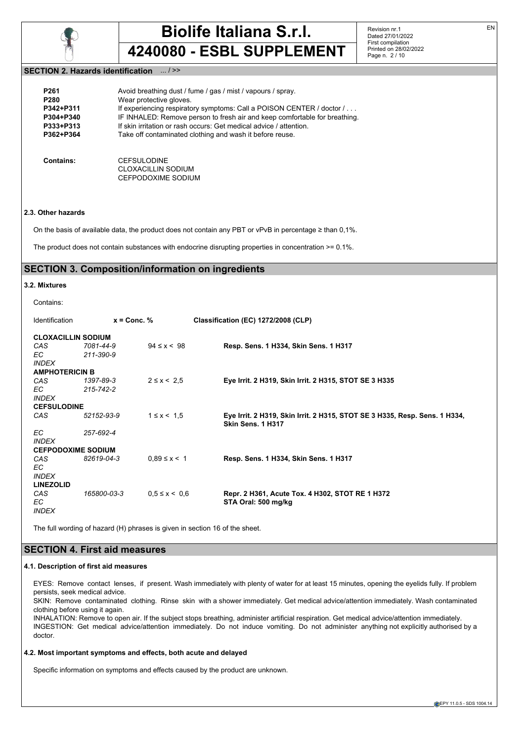

Revision nr.1 Dated 27/01/2022 First compilation Printed on 28/02/2022 Page n. 2 / 10

#### **SECTION 2. Hazards identification** ... / >>

| P <sub>261</sub> | Avoid breathing dust / fume / gas / mist / vapours / spray.                |
|------------------|----------------------------------------------------------------------------|
| P <sub>280</sub> | Wear protective gloves.                                                    |
| P342+P311        | If experiencing respiratory symptoms: Call a POISON CENTER / doctor /      |
| P304+P340        | IF INHALED: Remove person to fresh air and keep comfortable for breathing. |
| P333+P313        | If skin irritation or rash occurs: Get medical advice / attention.         |
| P362+P364        | Take off contaminated clothing and wash it before reuse.                   |
| Contains:        | <b>CEFSULODINE</b><br>CLOXACILLIN SODIUM<br>CEFPODOXIME SODIUM             |

#### **2.3. Other hazards**

On the basis of available data, the product does not contain any PBT or vPvB in percentage  $\geq$  than 0.1%.

The product does not contain substances with endocrine disrupting properties in concentration >= 0.1%.

# **SECTION 3. Composition/information on ingredients**

#### **3.2. Mixtures**

| Contains: |
|-----------|
|-----------|

| Identification            | $x =$ Conc. % |                     | Classification (EC) 1272/2008 (CLP)                                                             |
|---------------------------|---------------|---------------------|-------------------------------------------------------------------------------------------------|
| <b>CLOXACILLIN SODIUM</b> |               |                     |                                                                                                 |
| CAS                       | 7081-44-9     | $94 \le x < 98$     | Resp. Sens. 1 H334, Skin Sens. 1 H317                                                           |
| EC.                       | 211-390-9     |                     |                                                                                                 |
| <b>INDEX</b>              |               |                     |                                                                                                 |
| <b>AMPHOTERICIN B</b>     |               |                     |                                                                                                 |
| CAS                       | 1397-89-3     | $2 \le x \le 2.5$   | Eye Irrit. 2 H319, Skin Irrit. 2 H315, STOT SE 3 H335                                           |
| EC.                       | 215-742-2     |                     |                                                                                                 |
| <b>INDEX</b>              |               |                     |                                                                                                 |
| <b>CEFSULODINE</b>        |               |                     |                                                                                                 |
| CAS                       | 52152-93-9    | $1 \le x < 1.5$     | Eye Irrit. 2 H319, Skin Irrit. 2 H315, STOT SE 3 H335, Resp. Sens. 1 H334,<br>Skin Sens. 1 H317 |
| EC.                       | 257-692-4     |                     |                                                                                                 |
| <b>INDEX</b>              |               |                     |                                                                                                 |
| <b>CEFPODOXIME SODIUM</b> |               |                     |                                                                                                 |
| CAS                       | 82619-04-3    | $0.89 \le x \le 1$  | Resp. Sens. 1 H334, Skin Sens. 1 H317                                                           |
| EC.                       |               |                     |                                                                                                 |
| <b>INDEX</b>              |               |                     |                                                                                                 |
| <b>LINEZOLID</b>          |               |                     |                                                                                                 |
| CAS                       | 165800-03-3   | $0.5 \le x \le 0.6$ | Repr. 2 H361, Acute Tox. 4 H302, STOT RE 1 H372                                                 |
| EC.                       |               |                     | STA Oral: 500 mg/kg                                                                             |
| <b>INDEX</b>              |               |                     |                                                                                                 |

The full wording of hazard (H) phrases is given in section 16 of the sheet.

# **SECTION 4. First aid measures**

#### **4.1. Description of first aid measures**

EYES: Remove contact lenses, if present. Wash immediately with plenty of water for at least 15 minutes, opening the eyelids fully. If problem persists, seek medical advice.

SKIN: Remove contaminated clothing. Rinse skin with a shower immediately. Get medical advice/attention immediately. Wash contaminated clothing before using it again.

INHALATION: Remove to open air. If the subject stops breathing, administer artificial respiration. Get medical advice/attention immediately. INGESTION: Get medical advice/attention immediately. Do not induce vomiting. Do not administer anything not explicitly authorised by a doctor.

#### **4.2. Most important symptoms and effects, both acute and delayed**

Specific information on symptoms and effects caused by the product are unknown.

EN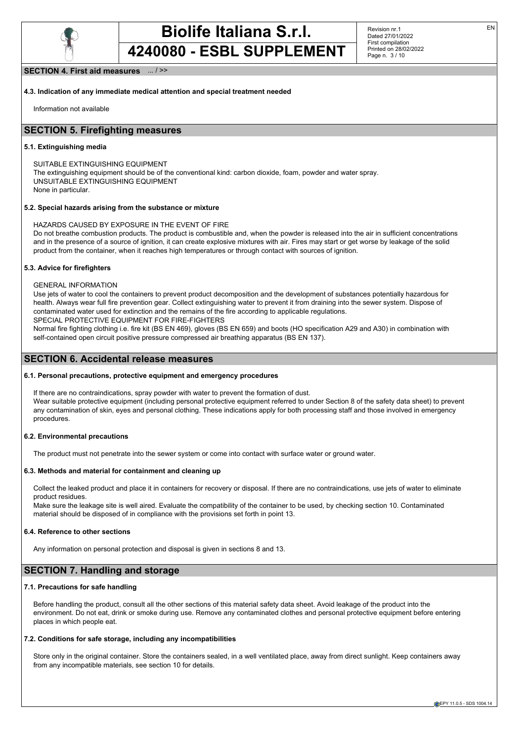

Revision nr.1 Dated 27/01/2022 First compilation Printed on 28/02/2022 Page n. 3 / 10

#### **SECTION 4. First aid measures** ... / >>

**4.3. Indication of any immediate medical attention and special treatment needed**

Information not available

# **SECTION 5. Firefighting measures**

#### **5.1. Extinguishing media**

SUITABLE EXTINGUISHING EQUIPMENT The extinguishing equipment should be of the conventional kind: carbon dioxide, foam, powder and water spray. UNSUITABLE EXTINGUISHING EQUIPMENT None in particular.

#### **5.2. Special hazards arising from the substance or mixture**

HAZARDS CAUSED BY EXPOSURE IN THE EVENT OF FIRE Do not breathe combustion products. The product is combustible and, when the powder is released into the air in sufficient concentrations and in the presence of a source of ignition, it can create explosive mixtures with air. Fires may start or get worse by leakage of the solid product from the container, when it reaches high temperatures or through contact with sources of ignition.

#### **5.3. Advice for firefighters**

GENERAL INFORMATION

Use jets of water to cool the containers to prevent product decomposition and the development of substances potentially hazardous for health. Always wear full fire prevention gear. Collect extinguishing water to prevent it from draining into the sewer system. Dispose of contaminated water used for extinction and the remains of the fire according to applicable regulations. SPECIAL PROTECTIVE EQUIPMENT FOR FIRE-FIGHTERS

Normal fire fighting clothing i.e. fire kit (BS EN 469), gloves (BS EN 659) and boots (HO specification A29 and A30) in combination with self-contained open circuit positive pressure compressed air breathing apparatus (BS EN 137).

#### **SECTION 6. Accidental release measures**

#### **6.1. Personal precautions, protective equipment and emergency procedures**

If there are no contraindications, spray powder with water to prevent the formation of dust.

Wear suitable protective equipment (including personal protective equipment referred to under Section 8 of the safety data sheet) to prevent any contamination of skin, eyes and personal clothing. These indications apply for both processing staff and those involved in emergency procedures.

#### **6.2. Environmental precautions**

The product must not penetrate into the sewer system or come into contact with surface water or ground water.

#### **6.3. Methods and material for containment and cleaning up**

Collect the leaked product and place it in containers for recovery or disposal. If there are no contraindications, use jets of water to eliminate product residues.

Make sure the leakage site is well aired. Evaluate the compatibility of the container to be used, by checking section 10. Contaminated material should be disposed of in compliance with the provisions set forth in point 13.

#### **6.4. Reference to other sections**

Any information on personal protection and disposal is given in sections 8 and 13.

# **SECTION 7. Handling and storage**

#### **7.1. Precautions for safe handling**

Before handling the product, consult all the other sections of this material safety data sheet. Avoid leakage of the product into the environment. Do not eat, drink or smoke during use. Remove any contaminated clothes and personal protective equipment before entering places in which people eat.

#### **7.2. Conditions for safe storage, including any incompatibilities**

Store only in the original container. Store the containers sealed, in a well ventilated place, away from direct sunlight. Keep containers away from any incompatible materials, see section 10 for details.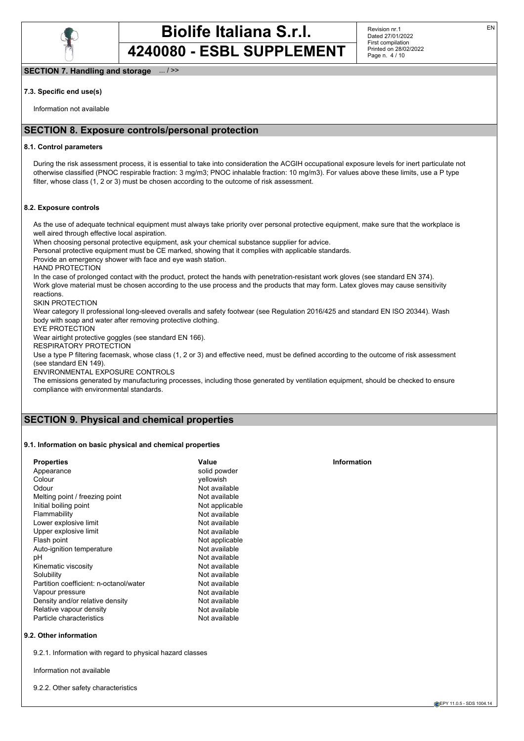

Revision nr.1 Dated 27/01/2022 First compilation Printed on 28/02/2022 Page n. 4 / 10

#### **SECTION 7. Handling and storage** ... / >>

#### **7.3. Specific end use(s)**

Information not available

# **SECTION 8. Exposure controls/personal protection**

#### **8.1. Control parameters**

During the risk assessment process, it is essential to take into consideration the ACGIH occupational exposure levels for inert particulate not otherwise classified (PNOC respirable fraction: 3 mg/m3; PNOC inhalable fraction: 10 mg/m3). For values above these limits, use a P type filter, whose class (1, 2 or 3) must be chosen according to the outcome of risk assessment.

#### **8.2. Exposure controls**

As the use of adequate technical equipment must always take priority over personal protective equipment, make sure that the workplace is well aired through effective local aspiration.

When choosing personal protective equipment, ask your chemical substance supplier for advice.

Personal protective equipment must be CE marked, showing that it complies with applicable standards.

Provide an emergency shower with face and eye wash station.

HAND PROTECTION

In the case of prolonged contact with the product, protect the hands with penetration-resistant work gloves (see standard EN 374). Work glove material must be chosen according to the use process and the products that may form. Latex gloves may cause sensitivity reactions.

### SKIN PROTECTION

Wear category II professional long-sleeved overalls and safety footwear (see Regulation 2016/425 and standard EN ISO 20344). Wash body with soap and water after removing protective clothing.

EYE PROTECTION

Wear airtight protective goggles (see standard EN 166).

# RESPIRATORY PROTECTION

Use a type P filtering facemask, whose class (1, 2 or 3) and effective need, must be defined according to the outcome of risk assessment (see standard EN 149).

ENVIRONMENTAL EXPOSURE CONTROLS

The emissions generated by manufacturing processes, including those generated by ventilation equipment, should be checked to ensure compliance with environmental standards.

# **SECTION 9. Physical and chemical properties**

#### **9.1. Information on basic physical and chemical properties**

| <b>Properties</b>                      | Value          | Information |
|----------------------------------------|----------------|-------------|
| Appearance                             | solid powder   |             |
| Colour                                 | vellowish      |             |
| Odour                                  | Not available  |             |
| Melting point / freezing point         | Not available  |             |
| Initial boiling point                  | Not applicable |             |
| Flammability                           | Not available  |             |
| Lower explosive limit                  | Not available  |             |
| Upper explosive limit                  | Not available  |             |
| Flash point                            | Not applicable |             |
| Auto-ignition temperature              | Not available  |             |
| рH                                     | Not available  |             |
| Kinematic viscosity                    | Not available  |             |
| Solubility                             | Not available  |             |
| Partition coefficient: n-octanol/water | Not available  |             |
| Vapour pressure                        | Not available  |             |
| Density and/or relative density        | Not available  |             |
| Relative vapour density                | Not available  |             |
| Particle characteristics               | Not available  |             |
|                                        |                |             |

#### **9.2. Other information**

9.2.1. Information with regard to physical hazard classes

Information not available

9.2.2. Other safety characteristics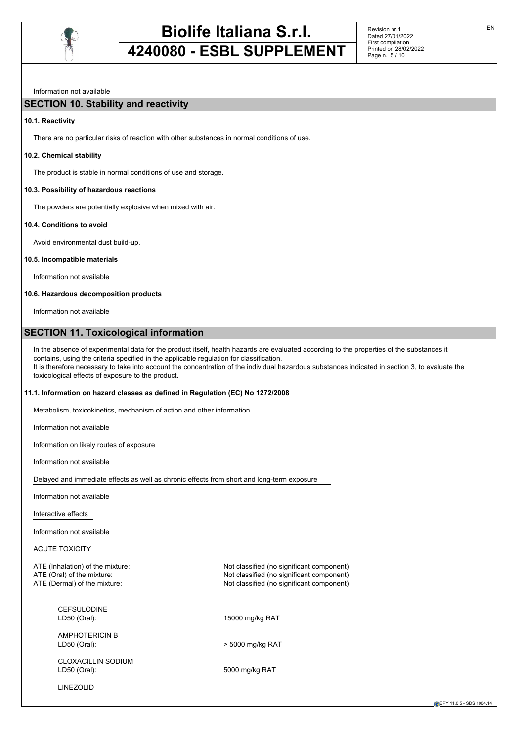

Revision nr.1 Dated 27/01/2022 First compilation Printed on 28/02/2022 Page n. 5 / 10

# Information not available

# **SECTION 10. Stability and reactivity**

# **10.1. Reactivity**

There are no particular risks of reaction with other substances in normal conditions of use.

### **10.2. Chemical stability**

The product is stable in normal conditions of use and storage.

### **10.3. Possibility of hazardous reactions**

The powders are potentially explosive when mixed with air.

### **10.4. Conditions to avoid**

Avoid environmental dust build-up.

### **10.5. Incompatible materials**

Information not available

# **10.6. Hazardous decomposition products**

Information not available

# **SECTION 11. Toxicological information**

In the absence of experimental data for the product itself, health hazards are evaluated according to the properties of the substances it contains, using the criteria specified in the applicable regulation for classification. It is therefore necessary to take into account the concentration of the individual hazardous substances indicated in section 3, to evaluate the toxicological effects of exposure to the product.

Not classified (no significant component)

5000 mg/kg RAT

# **11.1. Information on hazard classes as defined in Regulation (EC) No 1272/2008**

Metabolism, toxicokinetics, mechanism of action and other information

Information not available

Information on likely routes of exposure

Information not available

Delayed and immediate effects as well as chronic effects from short and long-term exposure

Information not available

Interactive effects

Information not available

ACUTE TOXICITY

ATE (Inhalation) of the mixture: Not classified (no significant component) ATE (Oral) of the mixture:  $\overline{A}$  ATE (Oral) of the mixture:  $\overline{A}$  ATE (Dermal) of the mixture:  $\overline{A}$  ATE (Dermal) of the mixture:

CEFSULODINE LD50 (Oral): 15000 mg/kg RAT

AMPHOTERICIN B LD50 (Oral): > 5000 mg/kg RAT

CLOXACILLIN SODIUM<br>LD50 (Oral):

LINEZOLID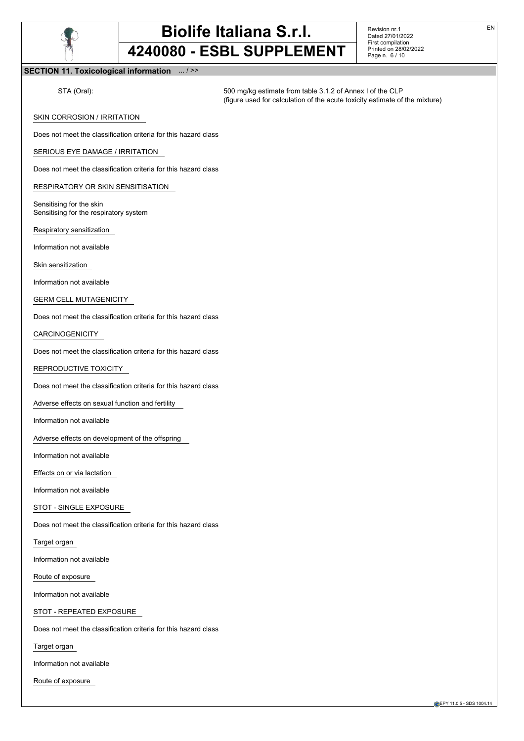

Revision nr.1 Dated 27/01/2022 First compilation Printed on 28/02/2022 Page n. 6 / 10

#### **SECTION 11. Toxicological information** ... / >>

STA (Oral): 500 mg/kg estimate from table 3.1.2 of Annex I of the CLP (figure used for calculation of the acute toxicity estimate of the mixture)

SKIN CORROSION / IRRITATION

Does not meet the classification criteria for this hazard class

#### SERIOUS EYE DAMAGE / IRRITATION

Does not meet the classification criteria for this hazard class

RESPIRATORY OR SKIN SENSITISATION

Sensitising for the skin Sensitising for the respiratory system

Respiratory sensitization

Information not available

Skin sensitization

Information not available

#### GERM CELL MUTAGENICITY

Does not meet the classification criteria for this hazard class

#### CARCINOGENICITY

Does not meet the classification criteria for this hazard class

REPRODUCTIVE TOXICITY

Does not meet the classification criteria for this hazard class

Adverse effects on sexual function and fertility

Information not available

Adverse effects on development of the offspring

Information not available

Effects on or via lactation

Information not available

#### STOT - SINGLE EXPOSURE

Does not meet the classification criteria for this hazard class

Target organ

Information not available

Route of exposure

Information not available

#### STOT - REPEATED EXPOSURE

Does not meet the classification criteria for this hazard class

Target organ

Information not available

Route of exposure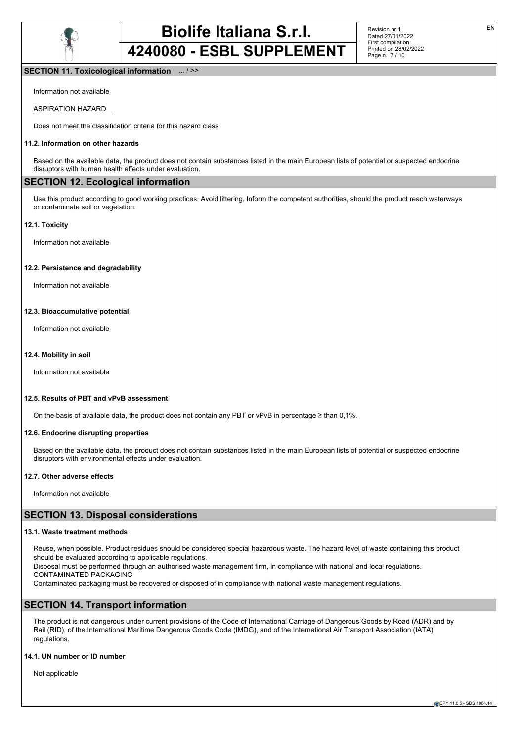

#### **SECTION 11. Toxicological information** ... / >>

Information not available

#### ASPIRATION HAZARD

Does not meet the classification criteria for this hazard class

#### **11.2. Information on other hazards**

Based on the available data, the product does not contain substances listed in the main European lists of potential or suspected endocrine disruptors with human health effects under evaluation.

#### **SECTION 12. Ecological information**

Use this product according to good working practices. Avoid littering. Inform the competent authorities, should the product reach waterways or contaminate soil or vegetation.

#### **12.1. Toxicity**

Information not available

#### **12.2. Persistence and degradability**

Information not available

#### **12.3. Bioaccumulative potential**

Information not available

#### **12.4. Mobility in soil**

Information not available

#### **12.5. Results of PBT and vPvB assessment**

On the basis of available data, the product does not contain any PBT or vPvB in percentage ≥ than 0,1%.

#### **12.6. Endocrine disrupting properties**

Based on the available data, the product does not contain substances listed in the main European lists of potential or suspected endocrine disruptors with environmental effects under evaluation.

#### **12.7. Other adverse effects**

Information not available

# **SECTION 13. Disposal considerations**

#### **13.1. Waste treatment methods**

Reuse, when possible. Product residues should be considered special hazardous waste. The hazard level of waste containing this product should be evaluated according to applicable regulations.

Disposal must be performed through an authorised waste management firm, in compliance with national and local regulations. CONTAMINATED PACKAGING

Contaminated packaging must be recovered or disposed of in compliance with national waste management regulations.

# **SECTION 14. Transport information**

The product is not dangerous under current provisions of the Code of International Carriage of Dangerous Goods by Road (ADR) and by Rail (RID), of the International Maritime Dangerous Goods Code (IMDG), and of the International Air Transport Association (IATA) regulations.

#### **14.1. UN number or ID number**

Not applicable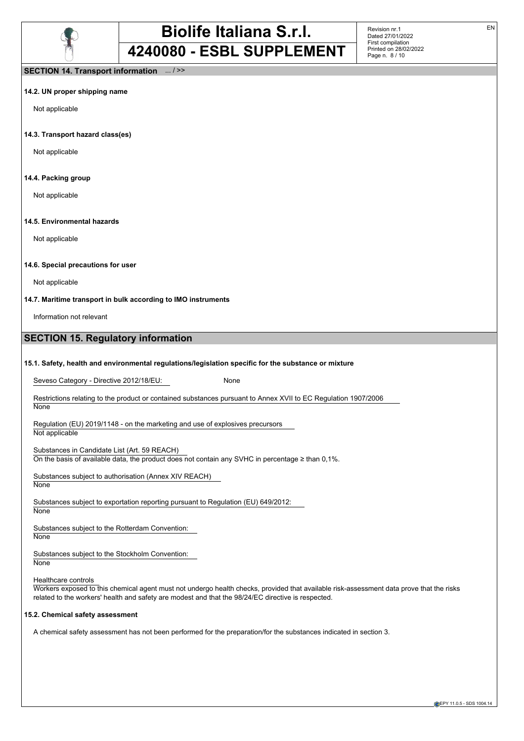

Revision nr.1 Dated 27/01/2022 First compilation Printed on 28/02/2022 Page n. 8 / 10

### **SECTION 14. Transport information** ... / >>

#### **14.2. UN proper shipping name**

Not applicable

#### **14.3. Transport hazard class(es)**

Not applicable

#### **14.4. Packing group**

Not applicable

#### **14.5. Environmental hazards**

Not applicable

#### **14.6. Special precautions for user**

Not applicable

#### **14.7. Maritime transport in bulk according to IMO instruments**

Information not relevant

# **SECTION 15. Regulatory information**

#### **15.1. Safety, health and environmental regulations/legislation specific for the substance or mixture**

Seveso Category - Directive 2012/18/EU: None

Restrictions relating to the product or contained substances pursuant to Annex XVII to EC Regulation 1907/2006 **None** 

Regulation (EU) 2019/1148 - on the marketing and use of explosives precursors Not applicable

Substances in Candidate List (Art. 59 REACH) On the basis of available data, the product does not contain any SVHC in percentage  $\geq$  than 0,1%.

Substances subject to authorisation (Annex XIV REACH) None

Substances subject to exportation reporting pursuant to Regulation (EU) 649/2012: None

Substances subject to the Rotterdam Convention: **None** 

Substances subject to the Stockholm Convention:

**None** 

#### Healthcare controls

Workers exposed to this chemical agent must not undergo health checks, provided that available risk-assessment data prove that the risks related to the workers' health and safety are modest and that the 98/24/EC directive is respected.

#### **15.2. Chemical safety assessment**

A chemical safety assessment has not been performed for the preparation/for the substances indicated in section 3.

EN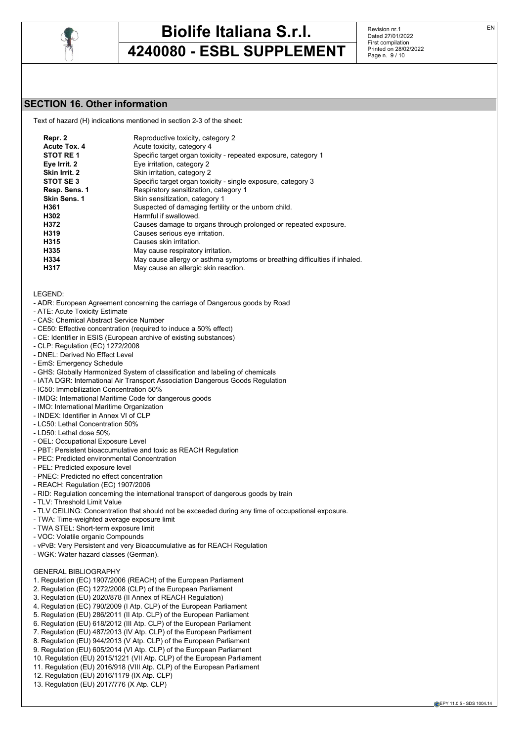

Revision nr.1 Dated 27/01/2022 First compilation Printed on 28/02/2022 Page n. 9 / 10

# **SECTION 16. Other information**

Text of hazard (H) indications mentioned in section 2-3 of the sheet:

| Repr. 2             | Reproductive toxicity, category 2                                          |
|---------------------|----------------------------------------------------------------------------|
| Acute Tox. 4        | Acute toxicity, category 4                                                 |
| STOT RE1            | Specific target organ toxicity - repeated exposure, category 1             |
| Eye Irrit. 2        | Eye irritation, category 2                                                 |
| Skin Irrit. 2       | Skin irritation, category 2                                                |
| STOT SE3            | Specific target organ toxicity - single exposure, category 3               |
| Resp. Sens. 1       | Respiratory sensitization, category 1                                      |
| <b>Skin Sens. 1</b> | Skin sensitization, category 1                                             |
| H361                | Suspected of damaging fertility or the unborn child.                       |
| H302                | Harmful if swallowed.                                                      |
| H372                | Causes damage to organs through prolonged or repeated exposure.            |
| H319                | Causes serious eye irritation.                                             |
| H315                | Causes skin irritation.                                                    |
| H335                | May cause respiratory irritation.                                          |
| H334                | May cause allergy or asthma symptoms or breathing difficulties if inhaled. |
| H317                | May cause an allergic skin reaction.                                       |
|                     |                                                                            |

LEGEND:

- ADR: European Agreement concerning the carriage of Dangerous goods by Road
- ATE: Acute Toxicity Estimate
- CAS: Chemical Abstract Service Number
- CE50: Effective concentration (required to induce a 50% effect)
- CE: Identifier in ESIS (European archive of existing substances)
- CLP: Regulation (EC) 1272/2008
- DNEL: Derived No Effect Level
- EmS: Emergency Schedule
- GHS: Globally Harmonized System of classification and labeling of chemicals
- IATA DGR: International Air Transport Association Dangerous Goods Regulation
- IC50: Immobilization Concentration 50%
- IMDG: International Maritime Code for dangerous goods
- IMO: International Maritime Organization
- INDEX: Identifier in Annex VI of CLP
- LC50: Lethal Concentration 50%
- LD50: Lethal dose 50%
- OEL: Occupational Exposure Level
- PBT: Persistent bioaccumulative and toxic as REACH Regulation
- PEC: Predicted environmental Concentration
- PEL: Predicted exposure level
- PNEC: Predicted no effect concentration
- REACH: Regulation (EC) 1907/2006
- RID: Regulation concerning the international transport of dangerous goods by train
- TLV: Threshold Limit Value
- TLV CEILING: Concentration that should not be exceeded during any time of occupational exposure.
- TWA: Time-weighted average exposure limit
- TWA STEL: Short-term exposure limit
- VOC: Volatile organic Compounds
- vPvB: Very Persistent and very Bioaccumulative as for REACH Regulation
- WGK: Water hazard classes (German).

#### GENERAL BIBLIOGRAPHY

- 1. Regulation (EC) 1907/2006 (REACH) of the European Parliament
- 2. Regulation (EC) 1272/2008 (CLP) of the European Parliament
- 3. Regulation (EU) 2020/878 (II Annex of REACH Regulation)
- 4. Regulation (EC) 790/2009 (I Atp. CLP) of the European Parliament
- 5. Regulation (EU) 286/2011 (II Atp. CLP) of the European Parliament
- 6. Regulation (EU) 618/2012 (III Atp. CLP) of the European Parliament
- 7. Regulation (EU) 487/2013 (IV Atp. CLP) of the European Parliament
- 8. Regulation (EU) 944/2013 (V Atp. CLP) of the European Parliament
- 9. Regulation (EU) 605/2014 (VI Atp. CLP) of the European Parliament
- 10. Regulation (EU) 2015/1221 (VII Atp. CLP) of the European Parliament
- 11. Regulation (EU) 2016/918 (VIII Atp. CLP) of the European Parliament
- 12. Regulation (EU) 2016/1179 (IX Atp. CLP)
- 13. Regulation (EU) 2017/776 (X Atp. CLP)